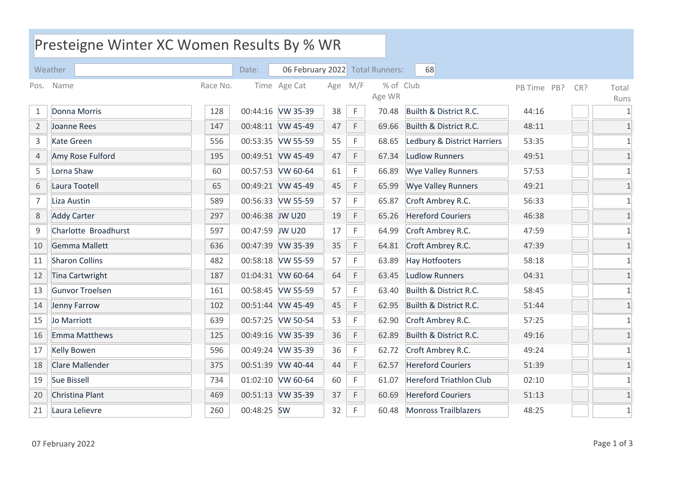| Presteigne Winter XC Women Results By % WR |                        |          |                 |                                 |     |             |                     |                                |             |     |                |
|--------------------------------------------|------------------------|----------|-----------------|---------------------------------|-----|-------------|---------------------|--------------------------------|-------------|-----|----------------|
|                                            | Weather                |          | Date:           | 06 February 2022 Total Runners: |     |             |                     | 68                             |             |     |                |
|                                            | Pos. Name              | Race No. |                 | Time Age Cat                    | Age | M/F         | % of Club<br>Age WR |                                | PB Time PB? | CR? | Total<br>Runs  |
| 1                                          | Donna Morris           | 128      |                 | 00:44:16 VW 35-39               | 38  | $\mathsf F$ | 70.48               | Builth & District R.C.         | 44:16       |     | $\mathbf{1}$   |
| $\overline{2}$                             | Joanne Rees            | 147      |                 | 00:48:11 VW 45-49               | 47  | F           | 69.66               | Builth & District R.C.         | 48:11       |     | $\mathbf{1}$   |
| $\mathsf{3}$                               | <b>Kate Green</b>      | 556      |                 | 00:53:35 VW 55-59               | 55  | $\mathsf F$ | 68.65               | Ledbury & District Harriers    | 53:35       |     | $\mathbf{1}$   |
| $\overline{4}$                             | Amy Rose Fulford       | 195      |                 | 00:49:51 VW 45-49               | 47  | $\mathsf F$ | 67.34               | <b>Ludlow Runners</b>          | 49:51       |     | $\mathbf{1}$   |
| 5                                          | Lorna Shaw             | 60       |                 | 00:57:53 VW 60-64               | 61  | $\mathsf F$ | 66.89               | <b>Wye Valley Runners</b>      | 57:53       |     | $\mathbf{1}$   |
| 6                                          | Laura Tootell          | 65       |                 | 00:49:21 VW 45-49               | 45  | $\mathsf F$ | 65.99               | <b>Wye Valley Runners</b>      | 49:21       |     | $\mathbf 1$    |
| $\overline{7}$                             | Liza Austin            | 589      |                 | 00:56:33 VW 55-59               | 57  | F           | 65.87               | Croft Ambrey R.C.              | 56:33       |     | $\mathbf{1}$   |
| $\,8\,$                                    | <b>Addy Carter</b>     | 297      | 00:46:38 JW U20 |                                 | 19  | $\mathsf F$ | 65.26               | <b>Hereford Couriers</b>       | 46:38       |     | $\mathbf{1}$   |
| $\mathsf 9$                                | Charlotte Broadhurst   | 597      | 00:47:59 JW U20 |                                 | 17  | $\mathsf F$ | 64.99               | Croft Ambrey R.C.              | 47:59       |     | $\mathbf{1}$   |
| 10                                         | Gemma Mallett          | 636      |                 | 00:47:39 VW 35-39               | 35  | F           | 64.81               | Croft Ambrey R.C.              | 47:39       |     | $\mathbf{1}$   |
| 11                                         | <b>Sharon Collins</b>  | 482      |                 | 00:58:18 VW 55-59               | 57  | F           | 63.89               | <b>Hay Hotfooters</b>          | 58:18       |     | $\mathbf{1}$   |
| 12                                         | <b>Tina Cartwright</b> | 187      |                 | 01:04:31 VW 60-64               | 64  | F           | 63.45               | <b>Ludlow Runners</b>          | 04:31       |     | $\mathbf{1}$   |
| 13                                         | Gunvor Troelsen        | 161      |                 | 00:58:45 VW 55-59               | 57  | $\mathsf F$ | 63.40               | Builth & District R.C.         | 58:45       |     | $\mathbf{1}$   |
| 14                                         | Jenny Farrow           | 102      |                 | 00:51:44 VW 45-49               | 45  | $\mathsf F$ | 62.95               | Builth & District R.C.         | 51:44       |     | $\mathbf 1$    |
| 15                                         | Jo Marriott            | 639      |                 | 00:57:25 VW 50-54               | 53  | $\mathsf F$ | 62.90               | Croft Ambrey R.C.              | 57:25       |     | $\overline{1}$ |
| 16                                         | Emma Matthews          | 125      |                 | 00:49:16 VW 35-39               | 36  | $\mathsf F$ | 62.89               | Builth & District R.C.         | 49:16       |     | $\mathbf{1}$   |
| 17                                         | <b>Kelly Bowen</b>     | 596      |                 | 00:49:24 VW 35-39               | 36  | F           | 62.72               | Croft Ambrey R.C.              | 49:24       |     | $\mathbf{1}$   |
| 18                                         | Clare Mallender        | 375      |                 | 00:51:39 VW 40-44               | 44  | $\mathsf F$ | 62.57               | <b>Hereford Couriers</b>       | 51:39       |     | $\mathbf{1}$   |
| 19                                         | Sue Bissell            | 734      |                 | 01:02:10 VW 60-64               | 60  | F           | 61.07               | <b>Hereford Triathlon Club</b> | 02:10       |     | $\mathbf{1}$   |
| 20                                         | Christina Plant        | 469      |                 | 00:51:13 VW 35-39               | 37  | F           | 60.69               | <b>Hereford Couriers</b>       | 51:13       |     | $\mathbf{1}$   |
| 21                                         | Laura Lelievre         | 260      | 00:48:25 SW     |                                 | 32  | F           | 60.48               | <b>Monross Trailblazers</b>    | 48:25       |     | $\mathbf{1}$   |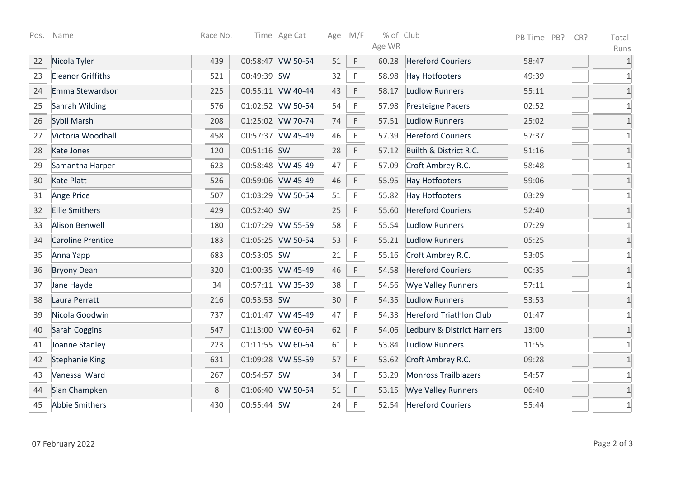|    | Pos. Name                | Race No. |             | Time Age Cat      |    | Age M/F     | % of Club<br>Age WR |                                | PB Time PB? | CR? | Total<br>Runs |
|----|--------------------------|----------|-------------|-------------------|----|-------------|---------------------|--------------------------------|-------------|-----|---------------|
| 22 | Nicola Tyler             | 439      |             | 00:58:47 VW 50-54 | 51 | $\mathsf F$ | 60.28               | <b>Hereford Couriers</b>       | 58:47       |     | $\mathbf{1}$  |
| 23 | <b>Eleanor Griffiths</b> | 521      | 00:49:39 SW |                   | 32 | F           | 58.98               | <b>Hay Hotfooters</b>          | 49:39       |     | $\mathbf{1}$  |
| 24 | Emma Stewardson          | 225      |             | 00:55:11 VW 40-44 | 43 | F           | 58.17               | <b>Ludlow Runners</b>          | 55:11       |     | $\mathbf{1}$  |
| 25 | Sahrah Wilding           | 576      |             | 01:02:52 VW 50-54 | 54 | F           | 57.98               | Presteigne Pacers              | 02:52       |     | $\mathbf{1}$  |
| 26 | Sybil Marsh              | 208      |             | 01:25:02 VW 70-74 | 74 | F           | 57.51               | <b>Ludlow Runners</b>          | 25:02       |     | $\mathbf{1}$  |
| 27 | Victoria Woodhall        | 458      |             | 00:57:37 VW 45-49 | 46 | $\mathsf F$ | 57.39               | <b>Hereford Couriers</b>       | 57:37       |     | $\mathbf{1}$  |
| 28 | <b>Kate Jones</b>        | 120      | 00:51:16 SW |                   | 28 | F           | 57.12               | Builth & District R.C.         | 51:16       |     | $\mathbf{1}$  |
| 29 | Samantha Harper          | 623      |             | 00:58:48 VW 45-49 | 47 | F           | 57.09               | Croft Ambrey R.C.              | 58:48       |     | $\mathbf{1}$  |
| 30 | Kate Platt               | 526      |             | 00:59:06 VW 45-49 | 46 | F           | 55.95               | <b>Hay Hotfooters</b>          | 59:06       |     | $1\,$         |
| 31 | Ange Price               | 507      |             | 01:03:29 VW 50-54 | 51 | F           | 55.82               | <b>Hay Hotfooters</b>          | 03:29       |     | $\mathbf{1}$  |
| 32 | <b>Ellie Smithers</b>    | 429      | 00:52:40 SW |                   | 25 | $\mathsf F$ | 55.60               | <b>Hereford Couriers</b>       | 52:40       |     | $1\,$         |
| 33 | <b>Alison Benwell</b>    | 180      |             | 01:07:29 VW 55-59 | 58 | $\mathsf F$ | 55.54               | <b>Ludlow Runners</b>          | 07:29       |     | $\mathbf 1$   |
| 34 | <b>Caroline Prentice</b> | 183      |             | 01:05:25 VW 50-54 | 53 | $\mathsf F$ | 55.21               | <b>Ludlow Runners</b>          | 05:25       |     | $\mathbf{1}$  |
| 35 | Anna Yapp                | 683      | 00:53:05 SW |                   | 21 | F           | 55.16               | Croft Ambrey R.C.              | 53:05       |     | $\mathbf{1}$  |
| 36 | <b>Bryony Dean</b>       | 320      |             | 01:00:35 VW 45-49 | 46 | F           | 54.58               | <b>Hereford Couriers</b>       | 00:35       |     | $\mathbf{1}$  |
| 37 | Jane Hayde               | 34       |             | 00:57:11 VW 35-39 | 38 | F           | 54.56               | Wye Valley Runners             | 57:11       |     | $1\,$         |
| 38 | Laura Perratt            | 216      | 00:53:53 SW |                   | 30 | F           | 54.35               | <b>Ludlow Runners</b>          | 53:53       |     | $\mathbf{1}$  |
| 39 | Nicola Goodwin           | 737      |             | 01:01:47 VW 45-49 | 47 | F           | 54.33               | <b>Hereford Triathlon Club</b> | 01:47       |     | $\mathbf 1$   |
| 40 | Sarah Coggins            | 547      |             | 01:13:00 VW 60-64 | 62 | $\mathsf F$ | 54.06               | Ledbury & District Harriers    | 13:00       |     | $\mathbf{1}$  |
| 41 | Joanne Stanley           | 223      |             | 01:11:55 VW 60-64 | 61 | F           | 53.84               | <b>Ludlow Runners</b>          | 11:55       |     | $\mathbf{1}$  |
| 42 | <b>Stephanie King</b>    | 631      |             | 01:09:28 VW 55-59 | 57 | F           | 53.62               | Croft Ambrey R.C.              | 09:28       |     | $\mathbf{1}$  |
| 43 | Vanessa Ward             | 267      | 00:54:57 SW |                   | 34 | F           | 53.29               | <b>Monross Trailblazers</b>    | 54:57       |     | $\mathbf{1}$  |
| 44 | Sian Champken            | 8        |             | 01:06:40 VW 50-54 | 51 | $\mathsf F$ | 53.15               | <b>Wye Valley Runners</b>      | 06:40       |     | $\mathbf 1$   |
| 45 | <b>Abbie Smithers</b>    | 430      | 00:55:44 SW |                   | 24 | F           | 52.54               | <b>Hereford Couriers</b>       | 55:44       |     | $\mathbf{1}$  |